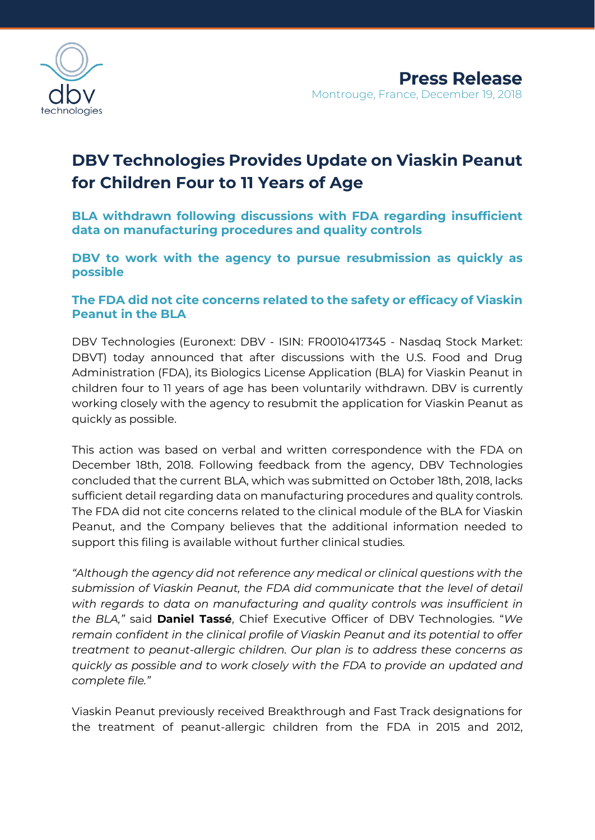

# **DBV Technologies Provides Update on Viaskin Peanut for Children Four to 11 Years of Age**

**BLA withdrawn following discussions with FDA regarding insufficient data on manufacturing procedures and quality controls**

**DBV to work with the agency to pursue resubmission as quickly as possible** 

## **The FDA did not cite concerns related to the safety or efficacy of Viaskin Peanut in the BLA**

DBV Technologies (Euronext: DBV - ISIN: FR0010417345 - Nasdaq Stock Market: DBVT) today announced that after discussions with the U.S. Food and Drug Administration (FDA), its Biologics License Application (BLA) for Viaskin Peanut in children four to 11 years of age has been voluntarily withdrawn. DBV is currently working closely with the agency to resubmit the application for Viaskin Peanut as quickly as possible.

This action was based on verbal and written correspondence with the FDA on December 18th, 2018. Following feedback from the agency, DBV Technologies concluded that the current BLA, which was submitted on October 18th, 2018, lacks sufficient detail regarding data on manufacturing procedures and quality controls. The FDA did not cite concerns related to the clinical module of the BLA for Viaskin Peanut, and the Company believes that the additional information needed to support this filing is available without further clinical studies.

*"Although the agency did not reference any medical or clinical questions with the submission of Viaskin Peanut, the FDA did communicate that the level of detail with regards to data on manufacturing and quality controls was insufficient in the BLA,"* said **Daniel Tassé**, Chief Executive Officer of DBV Technologies. "*We remain confident in the clinical profile of Viaskin Peanut and its potential to offer treatment to peanut-allergic children. Our plan is to address these concerns as quickly as possible and to work closely with the FDA to provide an updated and complete file."* 

Viaskin Peanut previously received Breakthrough and Fast Track designations for the treatment of peanut-allergic children from the FDA in 2015 and 2012,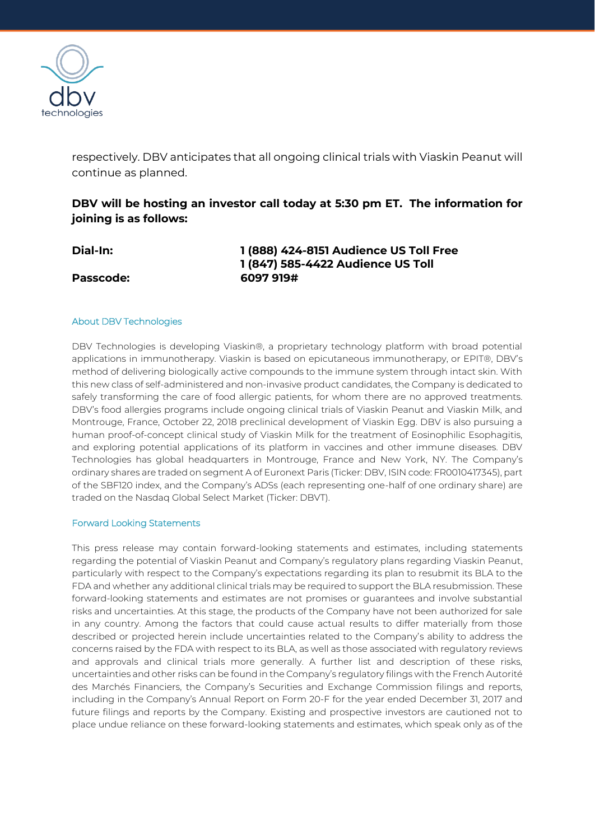

respectively. DBV anticipates that all ongoing clinical trials with Viaskin Peanut will continue as planned.

## **DBV will be hosting an investor call today at 5:30 pm ET. The information for joining is as follows:**

| <b>Dial-In:</b>  | 1 (888) 424-8151 Audience US Toll Free |
|------------------|----------------------------------------|
|                  | 1 (847) 585-4422 Audience US Toll      |
| <b>Passcode:</b> | 6097 919#                              |

### About DBV Technologies

DBV Technologies is developing Viaskin®, a proprietary technology platform with broad potential applications in immunotherapy. Viaskin is based on epicutaneous immunotherapy, or EPIT®, DBV's method of delivering biologically active compounds to the immune system through intact skin. With this new class of self-administered and non-invasive product candidates, the Company is dedicated to safely transforming the care of food allergic patients, for whom there are no approved treatments. DBV's food allergies programs include ongoing clinical trials of Viaskin Peanut and Viaskin Milk, and Montrouge, France, October 22, 2018 preclinical development of Viaskin Egg. DBV is also pursuing a human proof-of-concept clinical study of Viaskin Milk for the treatment of Eosinophilic Esophagitis, and exploring potential applications of its platform in vaccines and other immune diseases. DBV Technologies has global headquarters in Montrouge, France and New York, NY. The Company's ordinary shares are traded on segment A of Euronext Paris (Ticker: DBV, ISIN code: FR0010417345), part of the SBF120 index, and the Company's ADSs (each representing one-half of one ordinary share) are traded on the Nasdaq Global Select Market (Ticker: DBVT).

#### Forward Looking Statements

This press release may contain forward-looking statements and estimates, including statements regarding the potential of Viaskin Peanut and Company's regulatory plans regarding Viaskin Peanut, particularly with respect to the Company's expectations regarding its plan to resubmit its BLA to the FDA and whether any additional clinical trials may be required to support the BLA resubmission. These forward-looking statements and estimates are not promises or guarantees and involve substantial risks and uncertainties. At this stage, the products of the Company have not been authorized for sale in any country. Among the factors that could cause actual results to differ materially from those described or projected herein include uncertainties related to the Company's ability to address the concerns raised by the FDA with respect to its BLA, as well as those associated with regulatory reviews and approvals and clinical trials more generally. A further list and description of these risks, uncertainties and other risks can be found in the Company's regulatory filings with the French Autorité des Marchés Financiers, the Company's Securities and Exchange Commission filings and reports, including in the Company's Annual Report on Form 20-F for the year ended December 31, 2017 and future filings and reports by the Company. Existing and prospective investors are cautioned not to place undue reliance on these forward-looking statements and estimates, which speak only as of the